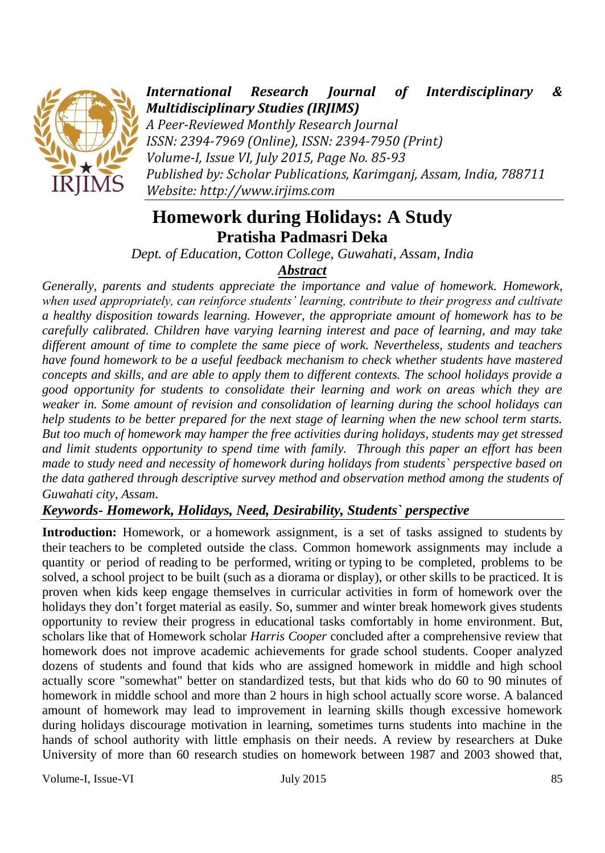

*International Research Journal of Interdisciplinary & Multidisciplinary Studies (IRJIMS)*

*A Peer-Reviewed Monthly Research Journal ISSN: 2394-7969 (Online), ISSN: 2394-7950 (Print) Volume-I, Issue VI, July 2015, Page No. 85-93 Published by: Scholar Publications, Karimganj, Assam, India, 788711 Website: http://www.irjims.com*

# **Homework during Holidays: A Study Pratisha Padmasri Deka**

*Dept. of Education, Cotton College, Guwahati, Assam, India*

# *Abstract*

*Generally, parents and students appreciate the importance and value of homework. Homework, when used appropriately, can reinforce students' learning, contribute to their progress and cultivate a healthy disposition towards learning. However, the appropriate amount of homework has to be carefully calibrated. Children have varying learning interest and pace of learning, and may take different amount of time to complete the same piece of work. Nevertheless, students and teachers have found homework to be a useful feedback mechanism to check whether students have mastered concepts and skills, and are able to apply them to different contexts. The school holidays provide a good opportunity for students to consolidate their learning and work on areas which they are weaker in. Some amount of revision and consolidation of learning during the school holidays can help students to be better prepared for the next stage of learning when the new school term starts. But too much of homework may hamper the free activities during holidays, students may get stressed and limit students opportunity to spend time with family. Through this paper an effort has been made to study need and necessity of homework during holidays from students` perspective based on the data gathered through descriptive survey method and observation method among the students of Guwahati city, Assam.* 

# *Keywords- Homework, Holidays, Need, Desirability, Students` perspective*

**Introduction:** Homework, or a homework assignment, is a set of tasks assigned to students by their teachers to be completed outside the class. Common homework assignments may include a quantity or period of reading to be performed, writing or typing to be completed, problems to be solved, a school project to be built (such as a diorama or display), or other skills to be practiced. It is proven when kids keep engage themselves in curricular activities in form of homework over the holidays they don't forget material as easily. So, summer and winter break homework gives students opportunity to review their progress in educational tasks comfortably in home environment. But, scholars like that of Homework scholar *Harris Cooper* concluded after a comprehensive review that homework does not improve academic achievements for grade school students. Cooper analyzed dozens of students and found that kids who are assigned homework in middle and high school actually score "somewhat" better on standardized tests, but that kids who do 60 to 90 minutes of homework in middle school and more than 2 hours in high school actually score worse. A balanced amount of homework may lead to improvement in learning skills though excessive homework during holidays discourage motivation in learning, sometimes turns students into machine in the hands of school authority with little emphasis on their needs. A review by researchers at Duke University of more than 60 research studies on homework between 1987 and 2003 showed that,

Volume-I, Issue-VI **Iuly 2015** 85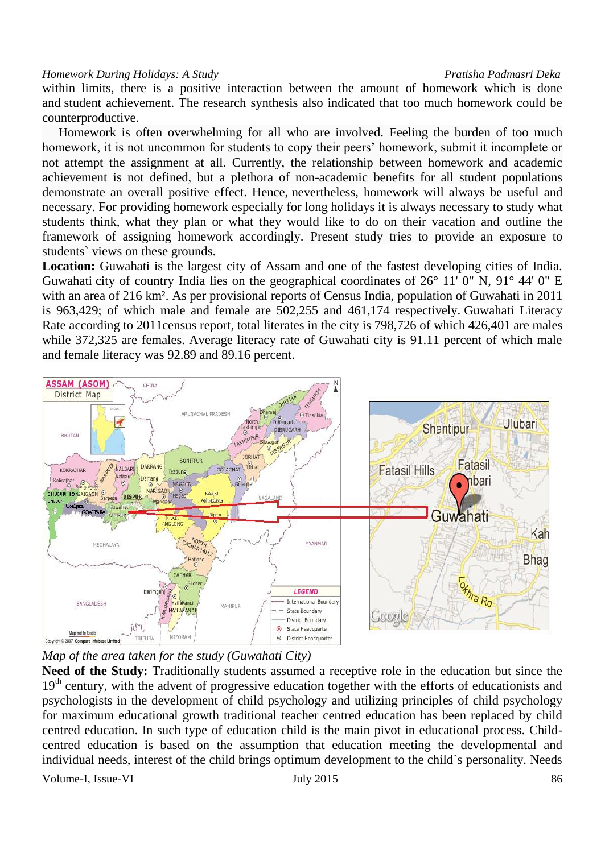within limits, there is a positive interaction between the amount of homework which is done and [student achievement.](https://en.wikipedia.org/wiki/Grade_(education)) The research synthesis also indicated that too much homework could be counterproductive.

 Homework is often overwhelming for all who are involved. Feeling the burden of too much homework, it is not uncommon for students to copy their peers' homework, submit it incomplete or not attempt the assignment at all. Currently, the relationship between homework and academic achievement is not defined, but a plethora of non-academic benefits for all student populations demonstrate an overall positive effect. Hence, nevertheless, homework will always be useful and necessary. For providing homework especially for long holidays it is always necessary to study what students think, what they plan or what they would like to do on their vacation and outline the framework of assigning homework accordingly. Present study tries to provide an exposure to students` views on these grounds.

**Location:** Guwahati is the largest city of Assam and one of the fastest developing cities of India. Guwahati city of country India lies on the geographical coordinates of  $26^{\circ}$  11' 0" N,  $91^{\circ}$  44' 0" E with an area of 216 km². As per provisional reports of Census India, population of Guwahati in 2011 is 963,429; of which male and female are 502,255 and 461,174 respectively. Guwahati Literacy Rate according to 2011census report, total literates in the city is 798,726 of which 426,401 are males while 372,325 are females. Average literacy rate of Guwahati city is 91.11 percent of which male and female literacy was 92.89 and 89.16 percent.



*Map of the area taken for the study (Guwahati City)*

**Need of the Study:** Traditionally students assumed a receptive role in the education but since the 19<sup>th</sup> century, with the advent of progressive education together with the efforts of educationists and psychologists in the development of child psychology and utilizing principles of child psychology for maximum educational growth traditional teacher centred education has been replaced by child centred education. In such type of education child is the main pivot in educational process. Childcentred education is based on the assumption that education meeting the developmental and individual needs, interest of the child brings optimum development to the child`s personality. Needs

Volume-I, Issue-VI **IULY 2015** 86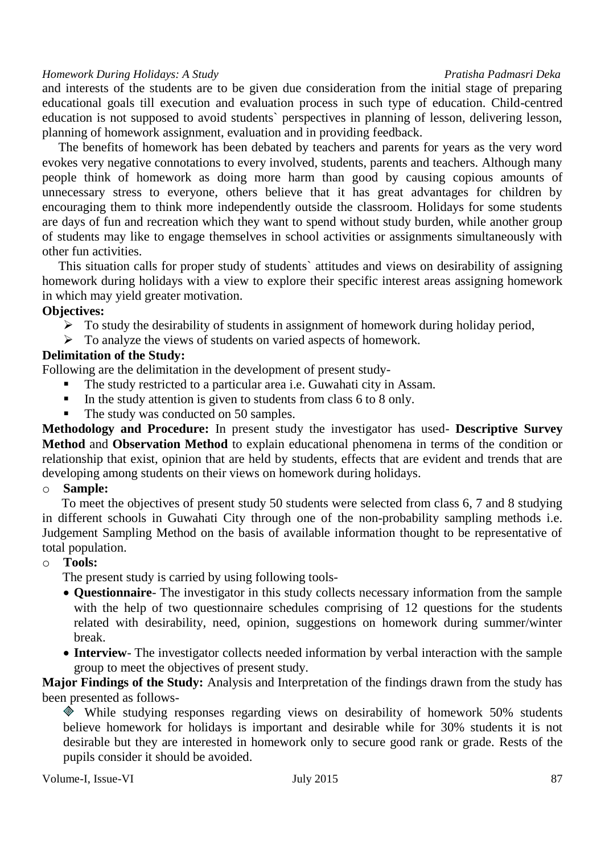and interests of the students are to be given due consideration from the initial stage of preparing educational goals till execution and evaluation process in such type of education. Child-centred education is not supposed to avoid students` perspectives in planning of lesson, delivering lesson, planning of homework assignment, evaluation and in providing feedback.

 The benefits of homework has been debated by teachers and parents for years as the very word evokes very negative connotations to every involved, students, parents and teachers. Although many people think of homework as doing more harm than good by causing copious amounts of unnecessary stress to everyone, others believe that it has great advantages for children by encouraging them to think more independently outside the classroom. Holidays for some students are days of fun and recreation which they want to spend without study burden, while another group of students may like to engage themselves in school activities or assignments simultaneously with other fun activities.

 This situation calls for proper study of students` attitudes and views on desirability of assigning homework during holidays with a view to explore their specific interest areas assigning homework in which may yield greater motivation.

# **Objectives:**

- $\triangleright$  To study the desirability of students in assignment of homework during holiday period,
- $\triangleright$  To analyze the views of students on varied aspects of homework.

# **Delimitation of the Study:**

Following are the delimitation in the development of present study-

- The study restricted to a particular area i.e. Guwahati city in Assam.
- In the study attention is given to students from class  $6$  to  $8$  only.
- The study was conducted on 50 samples.

**Methodology and Procedure:** In present study the investigator has used- **Descriptive Survey Method** and **Observation Method** to explain educational phenomena in terms of the condition or relationship that exist, opinion that are held by students, effects that are evident and trends that are developing among students on their views on homework during holidays.

# o **Sample:**

 To meet the objectives of present study 50 students were selected from class 6, 7 and 8 studying in different schools in Guwahati City through one of the non-probability sampling methods i.e. Judgement Sampling Method on the basis of available information thought to be representative of total population.

# o **Tools:**

The present study is carried by using following tools-

- **Questionnaire** The investigator in this study collects necessary information from the sample with the help of two questionnaire schedules comprising of 12 questions for the students related with desirability, need, opinion, suggestions on homework during summer/winter break.
- **Interview** The investigator collects needed information by verbal interaction with the sample group to meet the objectives of present study.

**Major Findings of the Study:** Analysis and Interpretation of the findings drawn from the study has been presented as follows-

While studying responses regarding views on desirability of homework 50% students believe homework for holidays is important and desirable while for 30% students it is not desirable but they are interested in homework only to secure good rank or grade. Rests of the pupils consider it should be avoided.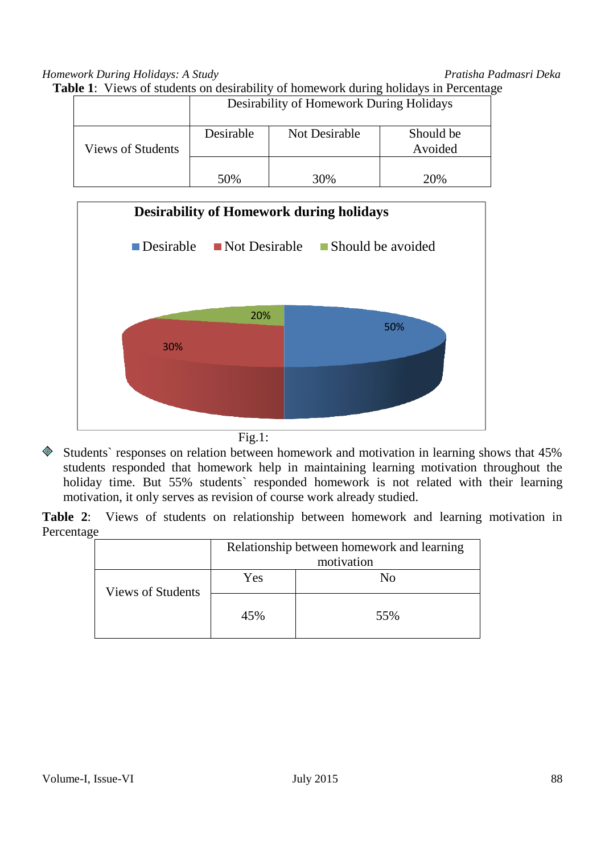| Table 1: Views of students on desirability of homework during holidays in Percentage |
|--------------------------------------------------------------------------------------|
|--------------------------------------------------------------------------------------|

|                   | Desirability of Homework During Holidays |               |                      |  |
|-------------------|------------------------------------------|---------------|----------------------|--|
| Views of Students | Desirable                                | Not Desirable | Should be<br>Avoided |  |
|                   | 50%                                      | 30%           | 20\%                 |  |



- $Fig.1:$
- Students` responses on relation between homework and motivation in learning shows that 45% students responded that homework help in maintaining learning motivation throughout the holiday time. But 55% students` responded homework is not related with their learning motivation, it only serves as revision of course work already studied.

**Table 2**: Views of students on relationship between homework and learning motivation in Percentage

|                   | Relationship between homework and learning |     |  |
|-------------------|--------------------------------------------|-----|--|
|                   | motivation                                 |     |  |
| Views of Students | Yes                                        | N٥  |  |
|                   | 45%                                        | 55% |  |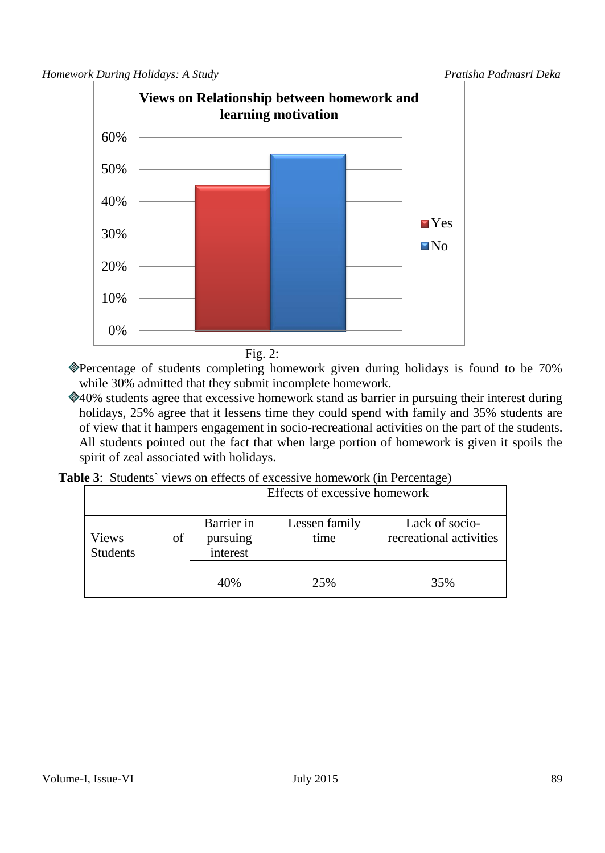

Fig. 2:

Percentage of students completing homework given during holidays is found to be 70% while 30% admitted that they submit incomplete homework.

40% students agree that excessive homework stand as barrier in pursuing their interest during holidays, 25% agree that it lessens time they could spend with family and 35% students are of view that it hampers engagement in socio-recreational activities on the part of the students. All students pointed out the fact that when large portion of homework is given it spoils the spirit of zeal associated with holidays.

| <b>Table 3:</b> Students' views on effects of excessive homework (in Percentage) |  |  |  |  |
|----------------------------------------------------------------------------------|--|--|--|--|
|----------------------------------------------------------------------------------|--|--|--|--|

|                          |    | Effects of excessive homework      |                       |                                           |  |
|--------------------------|----|------------------------------------|-----------------------|-------------------------------------------|--|
| Views<br><b>Students</b> | of | Barrier in<br>pursuing<br>interest | Lessen family<br>time | Lack of socio-<br>recreational activities |  |
|                          |    | 40%                                | 25%                   | 35%                                       |  |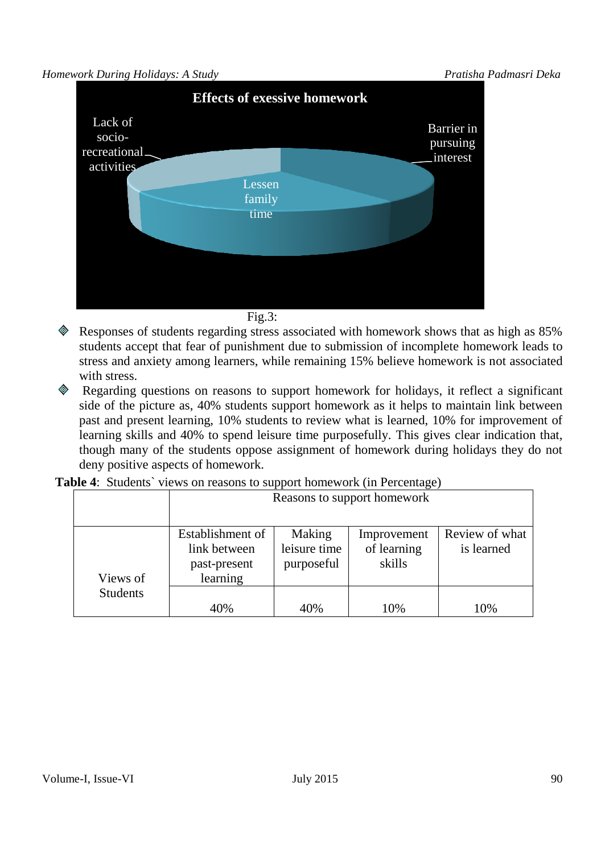

Fig.3:

- Responses of students regarding stress associated with homework shows that as high as 85% students accept that fear of punishment due to submission of incomplete homework leads to stress and anxiety among learners, while remaining 15% believe homework is not associated with stress.
- Regarding questions on reasons to support homework for holidays, it reflect a significant side of the picture as, 40% students support homework as it helps to maintain link between past and present learning, 10% students to review what is learned, 10% for improvement of learning skills and 40% to spend leisure time purposefully. This gives clear indication that, though many of the students oppose assignment of homework during holidays they do not deny positive aspects of homework.

|                 | Reasons to support homework                                  |                                      |                                      |                              |
|-----------------|--------------------------------------------------------------|--------------------------------------|--------------------------------------|------------------------------|
| Views of        | Establishment of<br>link between<br>past-present<br>learning | Making<br>leisure time<br>purposeful | Improvement<br>of learning<br>skills | Review of what<br>is learned |
| <b>Students</b> | 40%                                                          | 40%                                  | 10%                                  | 10%                          |

**Table 4:** Students' views on reasons to support homework (in Percentage)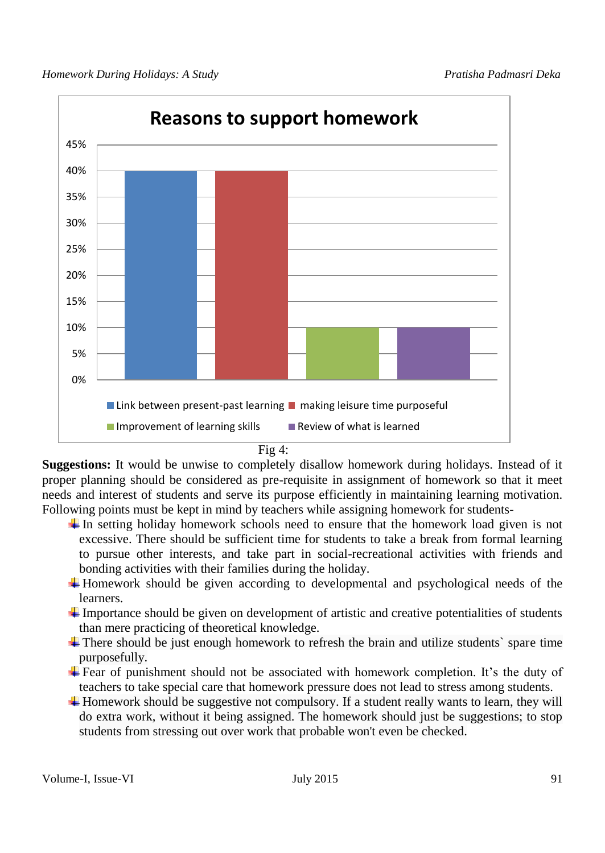

Fig 4:

**Suggestions:** It would be unwise to completely disallow homework during holidays. Instead of it proper planning should be considered as pre-requisite in assignment of homework so that it meet needs and interest of students and serve its purpose efficiently in maintaining learning motivation. Following points must be kept in mind by teachers while assigning homework for students-

- $\pm$  In setting holiday homework schools need to ensure that the homework load given is not excessive. There should be sufficient time for students to take a break from formal learning to pursue other interests, and take part in social-recreational activities with friends and bonding activities with their families during the holiday.
- Homework should be given according to developmental and psychological needs of the learners.
- $\ddot{\text{I}}$  Importance should be given on development of artistic and creative potentialities of students than mere practicing of theoretical knowledge.
- $\ddot{\text{I}}$  There should be just enough homework to refresh the brain and utilize students' spare time purposefully.
- $\ddot{\text{F}}$  Fear of punishment should not be associated with homework completion. It's the duty of teachers to take special care that homework pressure does not lead to stress among students.
- $\ddot{\text{+}}$  Homework should be suggestive not compulsory. If a student really wants to learn, they will do extra work, without it being assigned. The homework should just be suggestions; to stop students from stressing out over work that probable won't even be checked.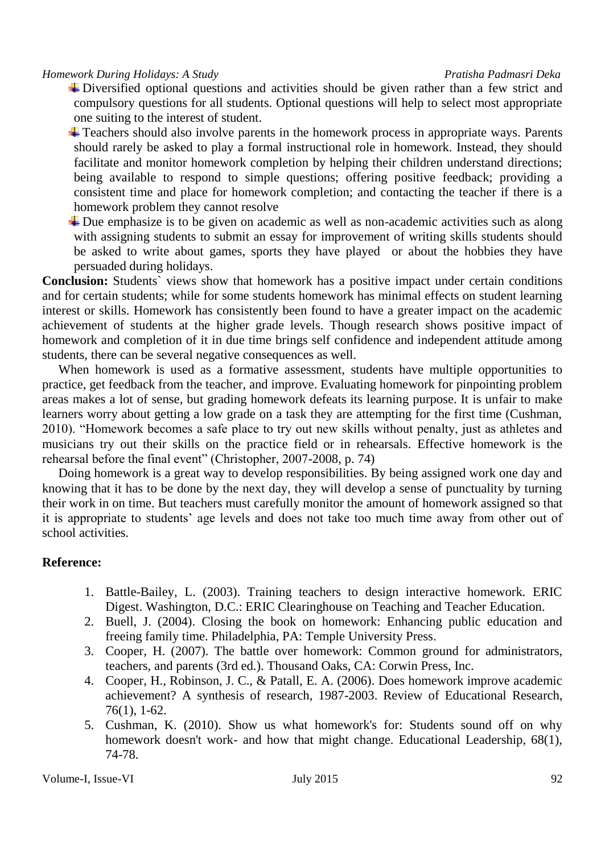- $\overline{\phantom{a}}$  Diversified optional questions and activities should be given rather than a few strict and compulsory questions for all students. Optional questions will help to select most appropriate one suiting to the interest of student.
- Teachers should also involve parents in the homework process in appropriate ways. Parents should rarely be asked to play a formal instructional role in homework. Instead, they should facilitate and monitor homework completion by helping their children understand directions; being available to respond to simple questions; offering positive feedback; providing a consistent time and place for homework completion; and contacting the teacher if there is a homework problem they cannot resolve
- $\downarrow$  Due emphasize is to be given on academic as well as non-academic activities such as along with assigning students to submit an essay for improvement of writing skills students should be asked to write about games, sports they have played or about the hobbies they have persuaded during holidays.

**Conclusion:** Students` views show that homework has a positive impact under certain conditions and for certain students; while for some students homework has minimal effects on student learning interest or skills. Homework has consistently been found to have a greater impact on the academic achievement of students at the higher grade levels. Though research shows positive impact of homework and completion of it in due time brings self confidence and independent attitude among students, there can be several negative consequences as well.

 When homework is used as a formative assessment, students have multiple opportunities to practice, get feedback from the teacher, and improve. Evaluating homework for pinpointing problem areas makes a lot of sense, but grading homework defeats its learning purpose. It is unfair to make learners worry about getting a low grade on a task they are attempting for the first time (Cushman, 2010). "Homework becomes a safe place to try out new skills without penalty, just as athletes and musicians try out their skills on the practice field or in rehearsals. Effective homework is the rehearsal before the final event" (Christopher, 2007-2008, p. 74)

 Doing homework is a great way to develop responsibilities. By being assigned work one day and knowing that it has to be done by the next day, they will develop a sense of punctuality by turning their work in on time. But teachers must carefully monitor the amount of homework assigned so that it is appropriate to students' age levels and does not take too much time away from other out of school activities.

# **Reference:**

- 1. Battle-Bailey, L. (2003). Training teachers to design interactive homework. ERIC Digest. Washington, D.C.: ERIC Clearinghouse on Teaching and Teacher Education.
- 2. Buell, J. (2004). Closing the book on homework: Enhancing public education and freeing family time. Philadelphia, PA: Temple University Press.
- 3. Cooper, H. (2007). The battle over homework: Common ground for administrators, teachers, and parents (3rd ed.). Thousand Oaks, CA: Corwin Press, Inc.
- 4. Cooper, H., Robinson, J. C., & Patall, E. A. (2006). Does homework improve academic achievement? A synthesis of research, 1987-2003. Review of Educational Research, 76(1), 1-62.
- 5. Cushman, K. (2010). Show us what homework's for: Students sound off on why homework doesn't work- and how that might change. Educational Leadership, 68(1), 74-78.